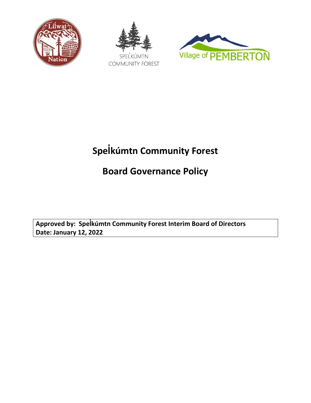





# **Spelk̓ úmtn Community Forest**

**Board Governance Policy**

**Approved by: Spelk̓ úmtn Community Forest Interim Board of Directors Date: January 12, 2022**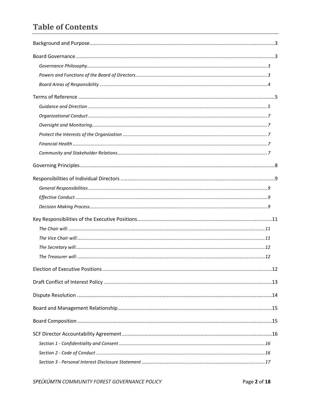# **Table of Contents**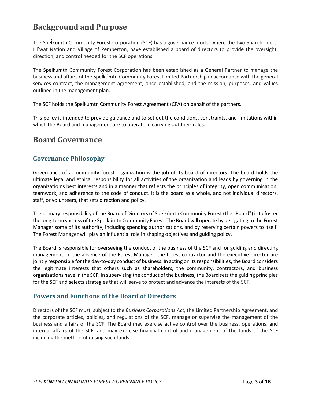# <span id="page-2-0"></span>**Background and Purpose**

The Spelkumtn Community Forest Corporation (SCF) has a governance model where the two Shareholders, Lil'wat Nation and Village of Pemberton, have established a board of directors to provide the oversight, direction, and control needed for the SCF operations.

The Spelkumtn Community Forest Corporation has been established as a General Partner to manage the business and affairs of the Spelk̓ úmtn Community Forest Limited Partnership in accordance with the general services contract, the management agreement, once established, and the mission, purposes, and values outlined in the management plan.

The SCF holds the Spelkumtn Community Forest Agreement (CFA) on behalf of the partners.

This policy is intended to provide guidance and to set out the conditions, constraints, and limitations within which the Board and management are to operate in carrying out their roles.

# <span id="page-2-1"></span>**Board Governance**

### <span id="page-2-2"></span>**Governance Philosophy**

Governance of a community forest organization is the job of its board of directors. The board holds the ultimate legal and ethical responsibility for all activities of the organization and leads by governing in the organization's best interests and in a manner that reflects the principles of integrity, open communication, teamwork, and adherence to the code of conduct. It is the board as a whole, and not individual directors, staff, or volunteers, that sets direction and policy.

The primary responsibility of the Board of Directors of Spelk̓ úmtn Community Forest (the "Board") is to foster the long-term success of the Spelk̓ úmtn Community Forest. The Board will operate by delegating to the Forest Manager some of its authority, including spending authorizations, and by reserving certain powers to itself. The Forest Manager will play an influential role in shaping objectives and guiding policy.

The Board is responsible for overseeing the conduct of the business of the SCF and for guiding and directing management; in the absence of the Forest Manager, the forest contractor and the executive director are jointly responsible for the day-to-day conduct of business. In acting on its responsibilities, the Board considers the legitimate interests that others such as shareholders, the community, contractors, and business organizations have in the SCF. In supervising the conduct of the business, the Board setsthe guiding principles for the SCF and selects strategies that will serve to protect and advance the interests of the SCF.

### <span id="page-2-3"></span>**Powers and Functions of the Board of Directors**

Directors of the SCF must, subject to the *Business Corporations Act*, the Limited Partnership Agreement, and the corporate articles, policies, and regulations of the SCF, manage or supervise the management of the business and affairs of the SCF. The Board may exercise active control over the business, operations, and internal affairs of the SCF, and may exercise financial control and management of the funds of the SCF including the method of raising such funds.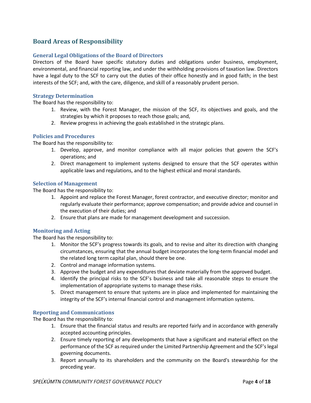# <span id="page-3-0"></span>**Board Areas of Responsibility**

#### **General Legal Obligations of the Board of Directors**

Directors of the Board have specific statutory duties and obligations under business, employment, environmental, and financial reporting law, and under the withholding provisions of taxation law. Directors have a legal duty to the SCF to carry out the duties of their office honestly and in good faith; in the best interests of the SCF; and, with the care, diligence, and skill of a reasonably prudent person.

#### **Strategy Determination**

The Board has the responsibility to:

- 1. Review, with the Forest Manager, the mission of the SCF, its objectives and goals, and the strategies by which it proposes to reach those goals; and,
- 2. Review progress in achieving the goals established in the strategic plans.

#### **Policies and Procedures**

The Board has the responsibility to:

- 1. Develop, approve, and monitor compliance with all major policies that govern the SCF's operations; and
- 2. Direct management to implement systems designed to ensure that the SCF operates within applicable laws and regulations, and to the highest ethical and moral standards.

#### **Selection of Management**

The Board has the responsibility to:

- 1. Appoint and replace the Forest Manager, forest contractor, and executive director; monitor and regularly evaluate their performance; approve compensation; and provide advice and counsel in the execution of their duties; and
- 2. Ensure that plans are made for management development and succession.

#### **Monitoring and Acting**

The Board has the responsibility to:

- 1. Monitor the SCF's progress towards its goals, and to revise and alter its direction with changing circumstances, ensuring that the annual budget incorporates the long-term financial model and the related long term capital plan, should there be one.
- 2. Control and manage information systems.
- 3. Approve the budget and any expenditures that deviate materially from the approved budget.
- 4. Identify the principal risks to the SCF's business and take all reasonable steps to ensure the implementation of appropriate systems to manage these risks.
- 5. Direct management to ensure that systems are in place and implemented for maintaining the integrity of the SCF's internal financial control and management information systems.

#### **Reporting and Communications**

The Board has the responsibility to:

- 1. Ensure that the financial status and results are reported fairly and in accordance with generally accepted accounting principles.
- 2. Ensure timely reporting of any developments that have a significant and material effect on the performance of the SCF as required under the Limited Partnership Agreement and the SCF's legal governing documents.
- 3. Report annually to its shareholders and the community on the Board's stewardship for the preceding year.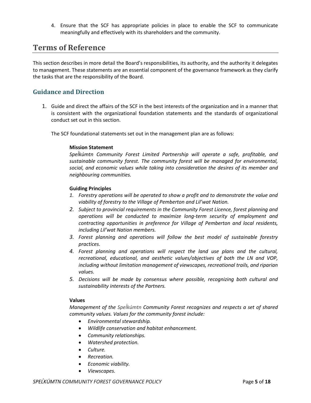4. Ensure that the SCF has appropriate policies in place to enable the SCF to communicate meaningfully and effectively with its shareholders and the community.

# <span id="page-4-0"></span>**Terms of Reference**

This section describes in more detail the Board's responsibilities, its authority, and the authority it delegates to management. These statements are an essential component of the governance framework as they clarify the tasks that are the responsibility of the Board.

# <span id="page-4-1"></span>**Guidance and Direction**

1. Guide and direct the affairs of the SCF in the best interests of the organization and in a manner that is consistent with the organizational foundation statements and the standards of organizational conduct set out in this section.

The SCF foundational statements set out in the management plan are as follows:

#### **Mission Statement**

*Spelk̓ úmtn Community Forest Limited Partnership will operate a safe, profitable, and sustainable community forest. The community forest will be managed for environmental, social, and economic values while taking into consideration the desires of its member and neighbouring communities.*

#### **Guiding Principles**

- *1. Forestry operations will be operated to show a profit and to demonstrate the value and viability of forestry to the Village of Pemberton and Lil'wat Nation.*
- *2. Subject to provincial requirements in the Community Forest Licence, forest planning and operations will be conducted to maximize long-term security of employment and contracting opportunities in preference for Village of Pemberton and local residents, including Lil'wat Nation members.*
- *3. Forest planning and operations will follow the best model of sustainable forestry practices.*
- *4. Forest planning and operations will respect the land use plans and the cultural, recreational, educational, and aesthetic values/objectives of both the LN and VOP, including without limitation management of viewscapes, recreational trails, and riparian values.*
- *5. Decisions will be made by consensus where possible, recognizing both cultural and sustainability interests of the Partners.*

#### **Values**

*Management of the Spelk̓ úmtn Community Forest recognizes and respects a set of shared community values. Values for the community forest include:* 

- *Environmental stewardship.*
- *Wildlife conservation and habitat enhancement.*
- *Community relationships.*
- *Watershed protection.*
- *Culture.*
- *Recreation.*
- *Economic viability.*
- *Viewscapes.*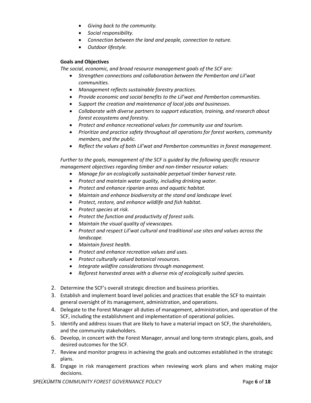- *Giving back to the community.*
- *Social responsibility.*
- *Connection between the land and people, connection to nature.*
- *Outdoor lifestyle.*

#### **Goals and Objectives**

*The social, economic, and broad resource management goals of the SCF are:*

- *Strengthen connections and collaboration between the Pemberton and Lil'wat communities.*
- *Management reflects sustainable forestry practices.*
- *Provide economic and social benefits to the Lil'wat and Pemberton communities.*
- *Support the creation and maintenance of local jobs and businesses.*
- *Collaborate with diverse partners to support education, training, and research about forest ecosystems and forestry.*
- *Protect and enhance recreational values for community use and tourism.*
- *Prioritize and practice safety throughout all operations for forest workers, community members, and the public.*
- *Reflect the values of both Lil'wat and Pemberton communities in forest management.*

*Further to the goals, management of the SCF is guided by the following specific resource management objectives regarding timber and non-timber resource values:*

- *Manage for an ecologically sustainable perpetual timber harvest rate.*
- *Protect and maintain water quality, including drinking water.*
- *Protect and enhance riparian areas and aquatic habitat.*
- *Maintain and enhance biodiversity at the stand and landscape level.*
- *Protect, restore, and enhance wildlife and fish habitat.*
- *Protect species at risk.*
- *Protect the function and productivity of forest soils.*
- *Maintain the visual quality of viewscapes.*
- *Protect and respect Lil'wat cultural and traditional use sites and values across the landscape.*
- *Maintain forest health.*
- *Protect and enhance recreation values and uses.*
- *Protect culturally valued botanical resources.*
- *Integrate wildfire considerations through management.*
- *Reforest harvested areas with a diverse mix of ecologically suited species.*
- 2. Determine the SCF's overall strategic direction and business priorities.
- 3. Establish and implement board level policies and practices that enable the SCF to maintain general oversight of its management, administration, and operations.
- 4. Delegate to the Forest Manager all duties of management, administration, and operation of the SCF, including the establishment and implementation of operational policies.
- 5. Identify and address issues that are likely to have a material impact on SCF, the shareholders, and the community stakeholders.
- 6. Develop, in concert with the Forest Manager, annual and long-term strategic plans, goals, and desired outcomes for the SCF.
- 7. Review and monitor progress in achieving the goals and outcomes established in the strategic plans.
- 8. Engage in risk management practices when reviewing work plans and when making major decisions.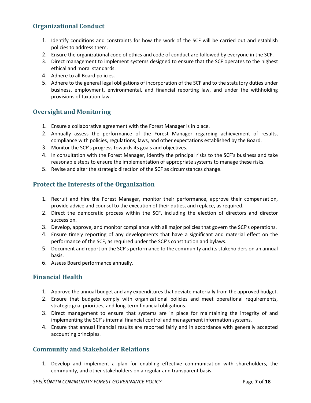# <span id="page-6-0"></span>**Organizational Conduct**

- 1. Identify conditions and constraints for how the work of the SCF will be carried out and establish policies to address them.
- 2. Ensure the organizational code of ethics and code of conduct are followed by everyone in the SCF.
- 3. Direct management to implement systems designed to ensure that the SCF operates to the highest ethical and moral standards.
- 4. Adhere to all Board policies.
- 5. Adhere to the general legal obligations of incorporation of the SCF and to the statutory duties under business, employment, environmental, and financial reporting law, and under the withholding provisions of taxation law.

### <span id="page-6-1"></span>**Oversight and Monitoring**

- 1. Ensure a collaborative agreement with the Forest Manager is in place.
- 2. Annually assess the performance of the Forest Manager regarding achievement of results, compliance with policies, regulations, laws, and other expectations established by the Board.
- 3. Monitor the SCF's progress towards its goals and objectives.
- 4. In consultation with the Forest Manager, identify the principal risks to the SCF's business and take reasonable steps to ensure the implementation of appropriate systems to manage these risks.
- 5. Revise and alter the strategic direction of the SCF as circumstances change.

### <span id="page-6-2"></span>**Protect the Interests of the Organization**

- 1. Recruit and hire the Forest Manager, monitor their performance, approve their compensation, provide advice and counsel to the execution of their duties, and replace, as required.
- 2. Direct the democratic process within the SCF, including the election of directors and director succession.
- 3. Develop, approve, and monitor compliance with all major policies that govern the SCF's operations.
- 4. Ensure timely reporting of any developments that have a significant and material effect on the performance of the SCF, as required under the SCF's constitution and bylaws.
- 5. Document and report on the SCF's performance to the community and its stakeholders on an annual basis.
- 6. Assess Board performance annually.

### <span id="page-6-3"></span>**Financial Health**

- 1. Approve the annual budget and any expenditures that deviate materially from the approved budget.
- 2. Ensure that budgets comply with organizational policies and meet operational requirements, strategic goal priorities, and long-term financial obligations.
- 3. Direct management to ensure that systems are in place for maintaining the integrity of and implementing the SCF's internal financial control and management information systems.
- 4. Ensure that annual financial results are reported fairly and in accordance with generally accepted accounting principles.

# <span id="page-6-4"></span>**Community and Stakeholder Relations**

1. Develop and implement a plan for enabling effective communication with shareholders, the community, and other stakeholders on a regular and transparent basis.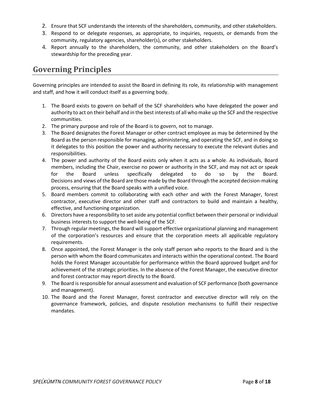- 2. Ensure that SCF understands the interests of the shareholders, community, and other stakeholders.
- 3. Respond to or delegate responses, as appropriate, to inquiries, requests, or demands from the community, regulatory agencies, shareholder(s), or other stakeholders.
- 4. Report annually to the shareholders, the community, and other stakeholders on the Board's stewardship for the preceding year.

# <span id="page-7-0"></span>**Governing Principles**

Governing principles are intended to assist the Board in defining its role, its relationship with management and staff, and how it will conduct itself as a governing body.

- 1. The Board exists to govern on behalf of the SCF shareholders who have delegated the power and authority to act on their behalf and in the best interests of all who make up the SCF and the respective communities.
- 2. The primary purpose and role of the Board is to govern, not to manage.
- 3. The Board designates the Forest Manager or other contract employee as may be determined by the Board as the person responsible for managing, administering, and operating the SCF, and in doing so it delegates to this position the power and authority necessary to execute the relevant duties and responsibilities.
- 4. The power and authority of the Board exists only when it acts as a whole. As individuals, Board members, including the Chair, exercise no power or authority in the SCF, and may not act or speak for the Board unless specifically delegated to do so by the Board. Decisions and views of the Board are those made by the Board through the accepted decision-making process, ensuring that the Board speaks with a unified voice.
- 5. Board members commit to collaborating with each other and with the Forest Manager, forest contractor, executive director and other staff and contractors to build and maintain a healthy, effective, and functioning organization.
- 6. Directors have a responsibility to set aside any potential conflict between their personal or individual business interests to support the well-being of the SCF.
- 7. Through regular meetings, the Board will support effective organizational planning and management of the corporation's resources and ensure that the corporation meets all applicable regulatory requirements.
- 8. Once appointed, the Forest Manager is the only staff person who reports to the Board and is the person with whom the Board communicates and interacts within the operational context. The Board holds the Forest Manager accountable for performance within the Board approved budget and for achievement of the strategic priorities. In the absence of the Forest Manager, the executive director and forest contractor may report directly to the Board.
- 9. The Board is responsible for annual assessment and evaluation of SCF performance (both governance and management).
- 10. The Board and the Forest Manager, forest contractor and executive director will rely on the governance framework, policies, and dispute resolution mechanisms to fulfill their respective mandates.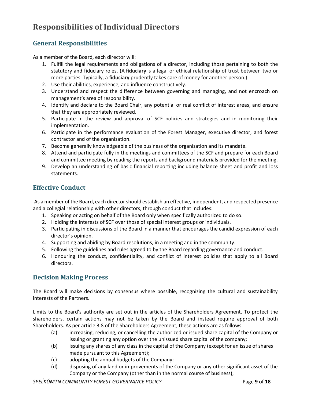# <span id="page-8-1"></span><span id="page-8-0"></span>**General Responsibilities**

As a member of the Board, each director will:

- 1. Fulfill the legal requirements and obligations of a director, including those pertaining to both the statutory and fiduciary roles. (A **fiduciary** is a legal or ethical relationship of trust between two or more parties. Typically, a **fiduciary** prudently takes care of money for another person.)
- 2. Use their abilities, experience, and influence constructively.
- 3. Understand and respect the difference between governing and managing, and not encroach on management's area of responsibility.
- 4. Identify and declare to the Board Chair, any potential or real conflict of interest areas, and ensure that they are appropriately reviewed.
- 5. Participate in the review and approval of SCF policies and strategies and in monitoring their implementation.
- 6. Participate in the performance evaluation of the Forest Manager, executive director, and forest contractor and of the organization.
- 7. Become generally knowledgeable of the business of the organization and its mandate.
- 8. Attend and participate fully in the meetings and committees of the SCF and prepare for each Board and committee meeting by reading the reports and background materials provided for the meeting.
- 9. Develop an understanding of basic financial reporting including balance sheet and profit and loss statements.

# <span id="page-8-2"></span>**Effective Conduct**

As a member of the Board, each director should establish an effective, independent, and respected presence and a collegial relationship with other directors, through conduct that includes:

- 1. Speaking or acting on behalf of the Board only when specifically authorized to do so.
- 2. Holding the interests of SCF over those of special interest groups or individuals.
- 3. Participating in discussions of the Board in a manner that encourages the candid expression of each director's opinion.
- 4. Supporting and abiding by Board resolutions, in a meeting and in the community.
- 5. Following the guidelines and rules agreed to by the Board regarding governance and conduct.
- 6. Honouring the conduct, confidentiality, and conflict of interest policies that apply to all Board directors.

# <span id="page-8-3"></span>**Decision Making Process**

The Board will make decisions by consensus where possible, recognizing the cultural and sustainability interests of the Partners.

Limits to the Board's authority are set out in the articles of the Shareholders Agreement. To protect the shareholders, certain actions may not be taken by the Board and instead require approval of both Shareholders. As per article 3.8 of the Shareholders Agreement, these actions are as follows:

- (a) increasing, reducing, or cancelling the authorized or issued share capital of the Company or issuing or granting any option over the unissued share capital of the company;
- (b) issuing any shares of any class in the capital of the Company (except for an issue of shares made pursuant to this Agreement);
- (c) adopting the annual budgets of the Company;
- (d) disposing of any land or improvements of the Company or any other significant asset of the Company or the Company (other than in the normal course of business);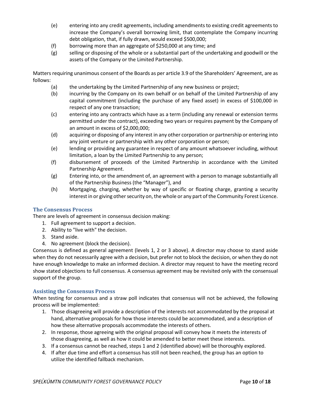- (e) entering into any credit agreements, including amendments to existing credit agreements to increase the Company's overall borrowing limit, that contemplate the Company incurring debt obligation, that, if fully drawn, would exceed \$500,000;
- (f) borrowing more than an aggregate of \$250,000 at any time; and
- (g) selling or disposing of the whole or a substantial part of the undertaking and goodwill or the assets of the Company or the Limited Partnership.

Matters requiring unanimous consent of the Boards as per article 3.9 of the Shareholders' Agreement, are as follows:

- (a) the undertaking by the Limited Partnership of any new business or project;
- (b) incurring by the Company on its own behalf or on behalf of the Limited Partnership of any capital commitment (including the purchase of any fixed asset) in excess of \$100,000 in respect of any one transaction;
- (c) entering into any contracts which have as a term (including any renewal or extension terms permitted under the contract), exceeding two years or requires payment by the Company of an amount in excess of \$2,000,000;
- (d) acquiring or disposing of any interest in any other corporation or partnership or entering into any joint venture or partnership with any other corporation or person;
- (e) lending or providing any guarantee in respect of any amount whatsoever including, without limitation, a loan by the Limited Partnership to any person;
- (f) disbursement of proceeds of the Limited Partnership in accordance with the Limited Partnership Agreement.
- (g) Entering into, or the amendment of, an agreement with a person to manage substantially all of the Partnership Business (the "Manager"), and
- (h) Mortgaging, charging, whether by way of specific or floating charge, granting a security interest in or giving other security on, the whole or any part of the Community Forest Licence.

#### **The Consensus Process**

There are levels of agreement in consensus decision making:

- 1. Full agreement to support a decision.
- 2. Ability to "live with" the decision.
- 3. Stand aside.
- 4. No agreement (block the decision).

Consensus is defined as general agreement (levels 1, 2 or 3 above). A director may choose to stand aside when they do not necessarily agree with a decision, but prefer not to block the decision, or when they do not have enough knowledge to make an informed decision. A director may request to have the meeting record show stated objections to full consensus. A consensus agreement may be revisited only with the consensual support of the group.

#### **Assisting the Consensus Process**

When testing for consensus and a straw poll indicates that consensus will not be achieved, the following process will be implemented:

- 1. Those disagreeing will provide a description of the interests not accommodated by the proposal at hand, alternative proposals for how those interests could be accommodated, and a description of how these alternative proposals accommodate the interests of others.
- 2. In response, those agreeing with the original proposal will convey how it meets the interests of those disagreeing, as well as how it could be amended to better meet these interests.
- 3. If a consensus cannot be reached, steps 1 and 2 (identified above) will be thoroughly explored.
- 4. If after due time and effort a consensus has still not been reached, the group has an option to utilize the identified fallback mechanism.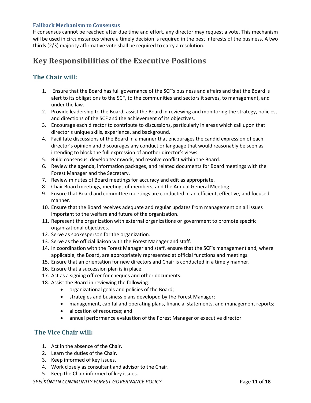#### **Fallback Mechanism to Consensus**

If consensus cannot be reached after due time and effort, any director may request a vote. This mechanism will be used in circumstances where a timely decision is required in the best interests of the business. A two thirds (2/3) majority affirmative vote shall be required to carry a resolution.

# <span id="page-10-0"></span>**Key Responsibilities of the Executive Positions**

### <span id="page-10-1"></span>**The Chair will:**

- 1. Ensure that the Board has full governance of the SCF's business and affairs and that the Board is alert to its obligations to the SCF, to the communities and sectors it serves, to management, and under the law.
- 2. Provide leadership to the Board; assist the Board in reviewing and monitoring the strategy, policies, and directions of the SCF and the achievement of its objectives.
- 3. Encourage each director to contribute to discussions, particularly in areas which call upon that director's unique skills, experience, and background.
- 4. Facilitate discussions of the Board in a manner that encourages the candid expression of each director's opinion and discourages any conduct or language that would reasonably be seen as intending to block the full expression of another director's views.
- 5. Build consensus, develop teamwork, and resolve conflict within the Board.
- 6. Review the agenda, information packages, and related documents for Board meetings with the Forest Manager and the Secretary.
- 7. Review minutes of Board meetings for accuracy and edit as appropriate.
- 8. Chair Board meetings, meetings of members, and the Annual General Meeting.
- 9. Ensure that Board and committee meetings are conducted in an efficient, effective, and focused manner.
- 10. Ensure that the Board receives adequate and regular updates from management on all issues important to the welfare and future of the organization.
- 11. Represent the organization with external organizations or government to promote specific organizational objectives.
- 12. Serve as spokesperson for the organization.
- 13. Serve as the official liaison with the Forest Manager and staff.
- 14. In coordination with the Forest Manager and staff, ensure that the SCF's management and, where applicable, the Board, are appropriately represented at official functions and meetings.
- 15. Ensure that an orientation for new directors and Chair is conducted in a timely manner.
- 16. Ensure that a succession plan is in place.
- 17. Act as a signing officer for cheques and other documents.
- 18. Assist the Board in reviewing the following:
	- organizational goals and policies of the Board;
	- strategies and business plans developed by the Forest Manager;
	- management, capital and operating plans, financial statements, and management reports;
	- allocation of resources; and
	- annual performance evaluation of the Forest Manager or executive director.

# <span id="page-10-2"></span>**The Vice Chair will:**

- 1. Act in the absence of the Chair.
- 2. Learn the duties of the Chair.
- 3. Keep informed of key issues.
- 4. Work closely as consultant and advisor to the Chair.
- 5. Keep the Chair informed of key issues.

*SPEL̓KÚMTN COMMUNITY FOREST GOVERNANCE POLICY* Page **11** of **18**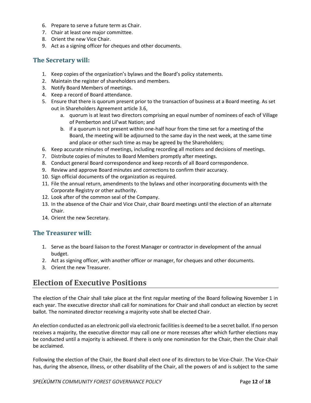- 6. Prepare to serve a future term as Chair.
- 7. Chair at least one major committee.
- 8. Orient the new Vice Chair.
- 9. Act as a signing officer for cheques and other documents.

### <span id="page-11-0"></span>**The Secretary will:**

- 1. Keep copies of the organization's bylaws and the Board's policy statements.
- 2. Maintain the register of shareholders and members.
- 3. Notify Board Members of meetings.
- 4. Keep a record of Board attendance.
- 5. Ensure that there is quorum present prior to the transaction of business at a Board meeting. As set out in Shareholders Agreement article 3.6,
	- a. quorum is at least two directors comprising an equal number of nominees of each of Village of Pemberton and Lil'wat Nation; and
	- b. if a quorum is not present within one-half hour from the time set for a meeting of the Board, the meeting will be adjourned to the same day in the next week, at the same time and place or other such time as may be agreed by the Shareholders;
- 6. Keep accurate minutes of meetings, including recording all motions and decisions of meetings.
- 7. Distribute copies of minutes to Board Members promptly after meetings.
- 8. Conduct general Board correspondence and keep records of all Board correspondence.
- 9. Review and approve Board minutes and corrections to confirm their accuracy.
- 10. Sign official documents of the organization as required.
- 11. File the annual return, amendments to the bylaws and other incorporating documents with the Corporate Registry or other authority.
- 12. Look after of the common seal of the Company.
- 13. In the absence of the Chair and Vice Chair, chair Board meetings until the election of an alternate Chair.
- 14. Orient the new Secretary.

# <span id="page-11-1"></span>**The Treasurer will:**

- 1. Serve as the board liaison to the Forest Manager or contractor in development of the annual budget.
- 2. Act as signing officer, with another officer or manager, for cheques and other documents.
- 3. Orient the new Treasurer.

# <span id="page-11-2"></span>**Election of Executive Positions**

The election of the Chair shall take place at the first regular meeting of the Board following November 1 in each year. The executive director shall call for nominations for Chair and shall conduct an election by secret ballot. The nominated director receiving a majority vote shall be elected Chair.

An election conducted as an electronic poll via electronic facilities is deemed to be a secret ballot. If no person receives a majority, the executive director may call one or more recesses after which further elections may be conducted until a majority is achieved. If there is only one nomination for the Chair, then the Chair shall be acclaimed.

Following the election of the Chair, the Board shall elect one of its directors to be Vice-Chair. The Vice-Chair has, during the absence, illness, or other disability of the Chair, all the powers of and is subject to the same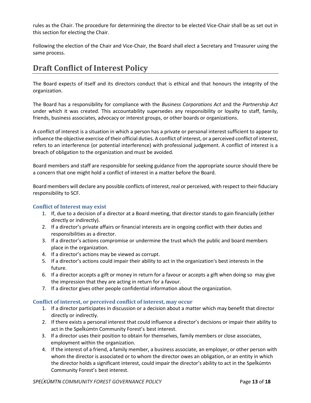rules as the Chair. The procedure for determining the director to be elected Vice-Chair shall be as set out in this section for electing the Chair.

Following the election of the Chair and Vice-Chair, the Board shall elect a Secretary and Treasurer using the same process.

# <span id="page-12-0"></span>**Draft Conflict of Interest Policy**

The Board expects of itself and its directors conduct that is ethical and that honours the integrity of the organization.

The Board has a responsibility for compliance with the *Business Corporations Act* and the *Partnership Act* under which it was created. This accountability supersedes any responsibility or loyalty to staff, family, friends, business associates, advocacy or interest groups, or other boards or organizations.

A conflict of interest is a situation in which a person has a private or personal interest sufficient to appear to influence the objective exercise of their official duties. A conflict of interest, or a perceived conflict of interest, refers to an interference (or potential interference) with professional judgement. A conflict of interest is a breach of obligation to the organization and must be avoided.

Board members and staff are responsible for seeking guidance from the appropriate source should there be a concern that one might hold a conflict of interest in a matter before the Board.

Board members will declare any possible conflicts of interest, real or perceived, with respect to their fiduciary responsibility to SCF.

#### **Conflict of Interest may exist**

- 1. If, due to a decision of a director at a Board meeting, that director stands to gain financially (either directly or indirectly).
- 2. If a director's private affairs or financial interests are in ongoing conflict with their duties and responsibilities as a director.
- 3. If a director's actions compromise or undermine the trust which the public and board members place in the organization.
- 4. If a director's actions may be viewed as corrupt.
- 5. If a director's actions could impair their ability to act in the organization's best interests in the future.
- 6. If a director accepts a gift or money in return for a favour or accepts a gift when doing so may give the impression that they are acting in return for a favour.
- 7. If a director gives other people confidential information about the organization.

#### **Conflict of interest, or perceived conflict of interest, may occur**

- 1. If a director participates in discussion or a decision about a matter which may benefit that director directly or indirectly.
- 2. If there exists a personal interest that could influence a director's decisions or impair their ability to act in the Spelkumtn Community Forest's best interest.
- 3. If a director uses their position to obtain for themselves, family members or close associates, employment within the organization.
- 4. If the interest of a friend, a family member, a business associate, an employer, or other person with whom the director is associated or to whom the director owes an obligation, or an entity in which the director holds a significant interest, could impair the director's ability to act in the Spelk̓ úmtn Community Forest's best interest.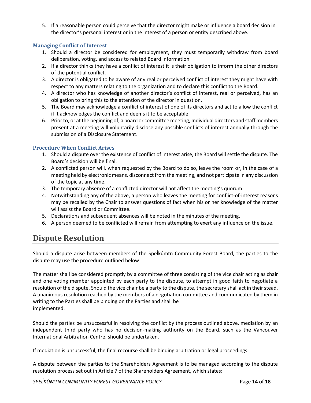5. If a reasonable person could perceive that the director might make or influence a board decision in the director's personal interest or in the interest of a person or entity described above.

#### **Managing Conflict of Interest**

- 1. Should a director be considered for employment, they must temporarily withdraw from board deliberation, voting, and access to related Board information.
- 2. If a director thinks they have a conflict of interest it is their obligation to inform the other directors of the potential conflict.
- 3. A director is obligated to be aware of any real or perceived conflict of interest they might have with respect to any matters relating to the organization and to declare this conflict to the Board.
- 4. A director who has knowledge of another director's conflict of interest, real or perceived, has an obligation to bring this to the attention of the director in question.
- 5. The Board may acknowledge a conflict of interest of one of its directors and act to allow the conflict if it acknowledges the conflict and deems it to be acceptable.
- 6. Prior to, or at the beginning of, a board or committee meeting, Individual directors and staff members present at a meeting will voluntarily disclose any possible conflicts of interest annually through the submission of a Disclosure Statement.

#### **Procedure When Conflict Arises**

- 1. Should a dispute over the existence of conflict of interest arise, the Board will settle the dispute. The Board's decision will be final.
- 2. A conflicted person will, when requested by the Board to do so, leave the room or, in the case of a meeting held by electronic means, disconnect from the meeting, and not participate in any discussion of the topic at any time.
- 3. The temporary absence of a conflicted director will not affect the meeting's quorum.
- 4. Notwithstanding any of the above, a person who leaves the meeting for conflict-of-interest reasons may be recalled by the Chair to answer questions of fact when his or her knowledge of the matter will assist the Board or Committee.
- 5. Declarations and subsequent absences will be noted in the minutes of the meeting.
- 6. A person deemed to be conflicted will refrain from attempting to exert any influence on the issue.

# <span id="page-13-0"></span>**Dispute Resolution**

Should a dispute arise between members of the Spelkúmtn Community Forest Board, the parties to the dispute may use the procedure outlined below:

The matter shall be considered promptly by a committee of three consisting of the vice chair acting as chair and one voting member appointed by each party to the dispute, to attempt in good faith to negotiate a resolution of the dispute. Should the vice chair be a party to the dispute, the secretary shall act in their stead. A unanimous resolution reached by the members of a negotiation committee and communicated by them in writing to the Parties shall be binding on the Parties and shall be implemented.

Should the parties be unsuccessful in resolving the conflict by the process outlined above, mediation by an independent third party who has no decision-making authority on the Board, such as the Vancouver International Arbitration Centre, should be undertaken.

If mediation is unsuccessful, the final recourse shall be binding arbitration or legal proceedings.

A dispute between the parties to the Shareholders Agreement is to be managed according to the dispute resolution process set out in Article 7 of the Shareholders Agreement, which states:

*SPEL̓KÚMTN COMMUNITY FOREST GOVERNANCE POLICY* Page **14** of **18**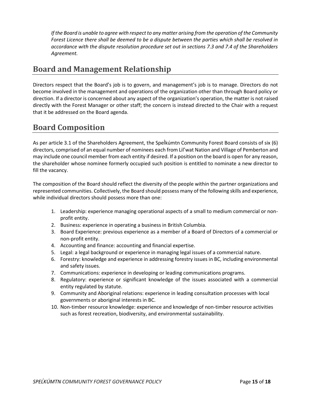*If the Board is unable to agree with respect to any matter arising from the operation of the Community Forest Licence there shall be deemed to be a dispute between the parties which shall be resolved in accordance with the dispute resolution procedure set out in sections 7.3 and 7.4 of the Shareholders Agreement.* 

# <span id="page-14-0"></span>**Board and Management Relationship**

Directors respect that the Board's job is to govern, and management's job is to manage. Directors do not become involved in the management and operations of the organization other than through Board policy or direction. If a director is concerned about any aspect of the organization's operation, the matter is not raised directly with the Forest Manager or other staff; the concern is instead directed to the Chair with a request that it be addressed on the Board agenda.

# <span id="page-14-1"></span>**Board Composition**

As per article 3.1 of the Shareholders Agreement, the Spelkumtn Community Forest Board consists of six (6) directors, comprised of an equal number of nominees each from Lil'wat Nation and Village of Pemberton and may include one council member from each entity if desired. If a position on the board is open for any reason, the shareholder whose nominee formerly occupied such position is entitled to nominate a new director to fill the vacancy.

The composition of the Board should reflect the diversity of the people within the partner organizations and represented communities. Collectively, the Board should possess many of the following skills and experience, while individual directors should possess more than one:

- 1. Leadership: experience managing operational aspects of a small to medium commercial or nonprofit entity.
- 2. Business: experience in operating a business in British Columbia.
- 3. Board Experience: previous experience as a member of a Board of Directors of a commercial or non-profit entity.
- 4. Accounting and finance: accounting and financial expertise.
- 5. Legal: a legal background or experience in managing legal issues of a commercial nature.
- 6. Forestry: knowledge and experience in addressing forestry issues in BC, including environmental and safety issues.
- 7. Communications: experience in developing or leading communications programs.
- 8. Regulatory: experience or significant knowledge of the issues associated with a commercial entity regulated by statute.
- 9. Community and Aboriginal relations: experience in leading consultation processes with local governments or aboriginal interests in BC.
- 10. Non-timber resource knowledge: experience and knowledge of non-timber resource activities such as forest recreation, biodiversity, and environmental sustainability.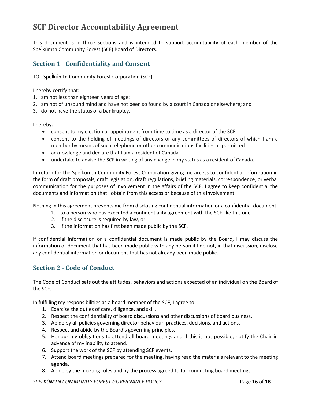<span id="page-15-0"></span>This document is in three sections and is intended to support accountability of each member of the Spelkúmtn Community Forest (SCF) Board of Directors.

# <span id="page-15-1"></span>**Section 1 - Confidentiality and Consent**

TO: Spelkúmtn Community Forest Corporation (SCF)

I hereby certify that:

- 1. I am not less than eighteen years of age;
- 2. I am not of unsound mind and have not been so found by a court in Canada or elsewhere; and
- 3. I do not have the status of a bankruptcy.

I hereby:

- consent to my election or appointment from time to time as a director of the SCF
- consent to the holding of meetings of directors or any committees of directors of which I am a member by means of such telephone or other communications facilities as permitted
- acknowledge and declare that I am a resident of Canada
- undertake to advise the SCF in writing of any change in my status as a resident of Canada.

In return for the Spelkumtn Community Forest Corporation giving me access to confidential information in the form of draft proposals, draft legislation, draft regulations, briefing materials, correspondence, or verbal communication for the purposes of involvement in the affairs of the SCF, I agree to keep confidential the documents and information that I obtain from this access or because of this involvement.

Nothing in this agreement prevents me from disclosing confidential information or a confidential document:

- 1. to a person who has executed a confidentiality agreement with the SCF like this one,
- 2. if the disclosure is required by law, or
- 3. if the information has first been made public by the SCF.

If confidential information or a confidential document is made public by the Board, I may discuss the information or document that has been made public with any person if I do not, in that discussion, disclose any confidential information or document that has not already been made public.

# <span id="page-15-2"></span>**Section 2 - Code of Conduct**

The Code of Conduct sets out the attitudes, behaviors and actions expected of an individual on the Board of the SCF.

In fulfilling my responsibilities as a board member of the SCF, I agree to:

- 1. Exercise the duties of care, diligence, and skill.
- 2. Respect the confidentiality of board discussions and other discussions of board business.
- 3. Abide by all policies governing director behaviour, practices, decisions, and actions.
- 4. Respect and abide by the Board's governing principles.
- 5. Honour my obligations to attend all board meetings and if this is not possible, notify the Chair in advance of my inability to attend.
- 6. Support the work of the SCF by attending SCF events.
- 7. Attend board meetings prepared for the meeting, having read the materials relevant to the meeting agenda.
- 8. Abide by the meeting rules and by the process agreed to for conducting board meetings.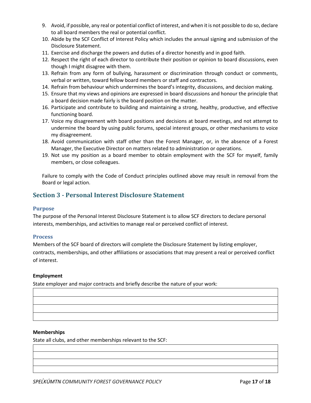- 9. Avoid, if possible, any real or potential conflict of interest, and when it is not possible to do so, declare to all board members the real or potential conflict.
- 10. Abide by the SCF Conflict of Interest Policy which includes the annual signing and submission of the Disclosure Statement.
- 11. Exercise and discharge the powers and duties of a director honestly and in good faith.
- 12. Respect the right of each director to contribute their position or opinion to board discussions, even though I might disagree with them.
- 13. Refrain from any form of bullying, harassment or discrimination through conduct or comments, verbal or written, toward fellow board members or staff and contractors.
- 14. Refrain from behaviour which undermines the board's integrity, discussions, and decision making.
- 15. Ensure that my views and opinions are expressed in board discussions and honour the principle that a board decision made fairly is the board position on the matter.
- 16. Participate and contribute to building and maintaining a strong, healthy, productive, and effective functioning board.
- 17. Voice my disagreement with board positions and decisions at board meetings, and not attempt to undermine the board by using public forums, special interest groups, or other mechanisms to voice my disagreement.
- 18. Avoid communication with staff other than the Forest Manager, or, in the absence of a Forest Manager, the Executive Director on matters related to administration or operations.
- 19. Not use my position as a board member to obtain employment with the SCF for myself, family members, or close colleagues.

Failure to comply with the Code of Conduct principles outlined above may result in removal from the Board or legal action.

### <span id="page-16-0"></span>**Section 3 - Personal Interest Disclosure Statement**

#### **Purpose**

The purpose of the Personal Interest Disclosure Statement is to allow SCF directors to declare personal interests, memberships, and activities to manage real or perceived conflict of interest.

#### **Process**

Members of the SCF board of directors will complete the Disclosure Statement by listing employer, contracts, memberships, and other affiliations or associations that may present a real or perceived conflict of interest.

#### **Employment**

State employer and major contracts and briefly describe the nature of your work:

#### **Memberships**

State all clubs, and other memberships relevant to the SCF: